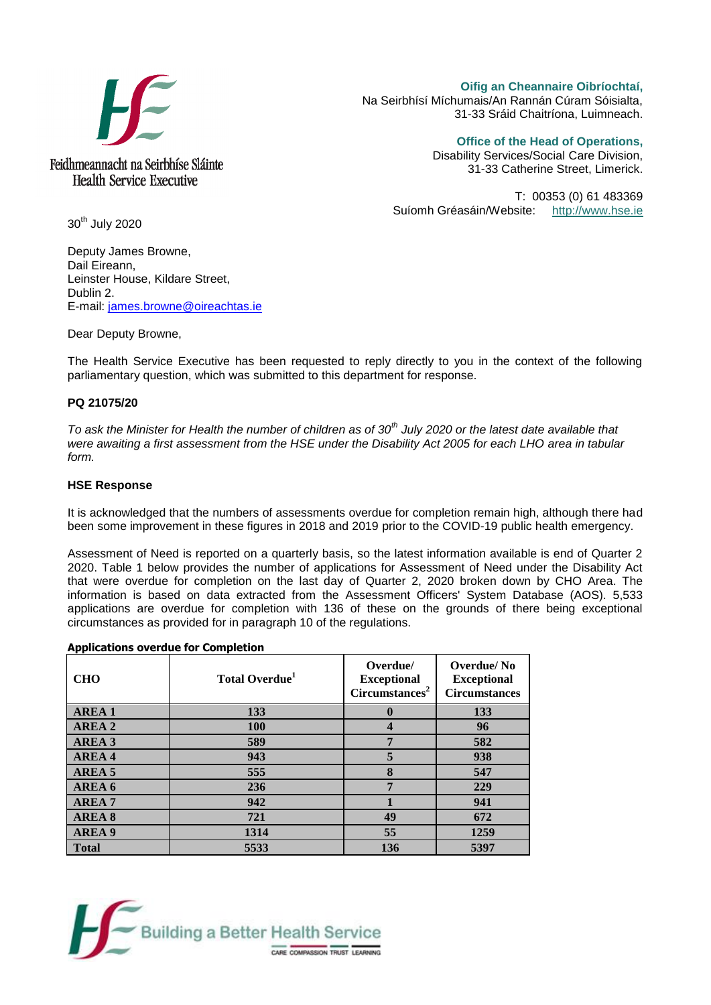

**Oifig an Cheannaire Oibríochtaí,**  Na Seirbhísí Míchumais/An Rannán Cúram Sóisialta, 31-33 Sráid Chaitríona, Luimneach.

> **Office of the Head of Operations,**  Disability Services/Social Care Division,

31-33 Catherine Street, Limerick.

T: 00353 (0) 61 483369 Suíomh Gréasáin/Website: [http://www.hse.ie](http://www.hse.ie/)

30<sup>th</sup> July 2020

Deputy James Browne, Dail Eireann, Leinster House, Kildare Street, Dublin 2. E-mail: [james.browne@oireachtas.ie](mailto:james.browne@oireachtas.ie)

Dear Deputy Browne,

The Health Service Executive has been requested to reply directly to you in the context of the following parliamentary question, which was submitted to this department for response.

## **PQ 21075/20**

*To ask the Minister for Health the number of children as of 30th July 2020 or the latest date available that were awaiting a first assessment from the HSE under the Disability Act 2005 for each LHO area in tabular form.*

## **HSE Response**

It is acknowledged that the numbers of assessments overdue for completion remain high, although there had been some improvement in these figures in 2018 and 2019 prior to the COVID-19 public health emergency.

Assessment of Need is reported on a quarterly basis, so the latest information available is end of Quarter 2 2020. Table 1 below provides the number of applications for Assessment of Need under the Disability Act that were overdue for completion on the last day of Quarter 2, 2020 broken down by CHO Area. The information is based on data extracted from the Assessment Officers' System Database (AOS). 5,533 applications are overdue for completion with 136 of these on the grounds of there being exceptional circumstances as provided for in paragraph 10 of the regulations.

| Applications over due for completion |                            |                                                              |                                                          |
|--------------------------------------|----------------------------|--------------------------------------------------------------|----------------------------------------------------------|
| <b>CHO</b>                           | Total Overdue <sup>1</sup> | Overdue/<br><b>Exceptional</b><br>Circumstances <sup>2</sup> | Overdue/No<br><b>Exceptional</b><br><b>Circumstances</b> |
| <b>AREA1</b>                         | 133                        | $\mathbf 0$                                                  | 133                                                      |
| <b>AREA 2</b>                        | <b>100</b>                 | $\overline{\mathbf{4}}$                                      | 96                                                       |
| AREA 3                               | 589                        | 7                                                            | 582                                                      |
| <b>AREA4</b>                         | 943                        | 5                                                            | 938                                                      |
| AREA 5                               | 555                        | 8                                                            | 547                                                      |
| AREA 6                               | 236                        | 7                                                            | 229                                                      |
| <b>AREA7</b>                         | 942                        |                                                              | 941                                                      |
| <b>AREA 8</b>                        | 721                        | 49                                                           | 672                                                      |
| <b>AREA 9</b>                        | 1314                       | 55                                                           | 1259                                                     |
| <b>Total</b>                         | 5533                       | 136                                                          | 5397                                                     |